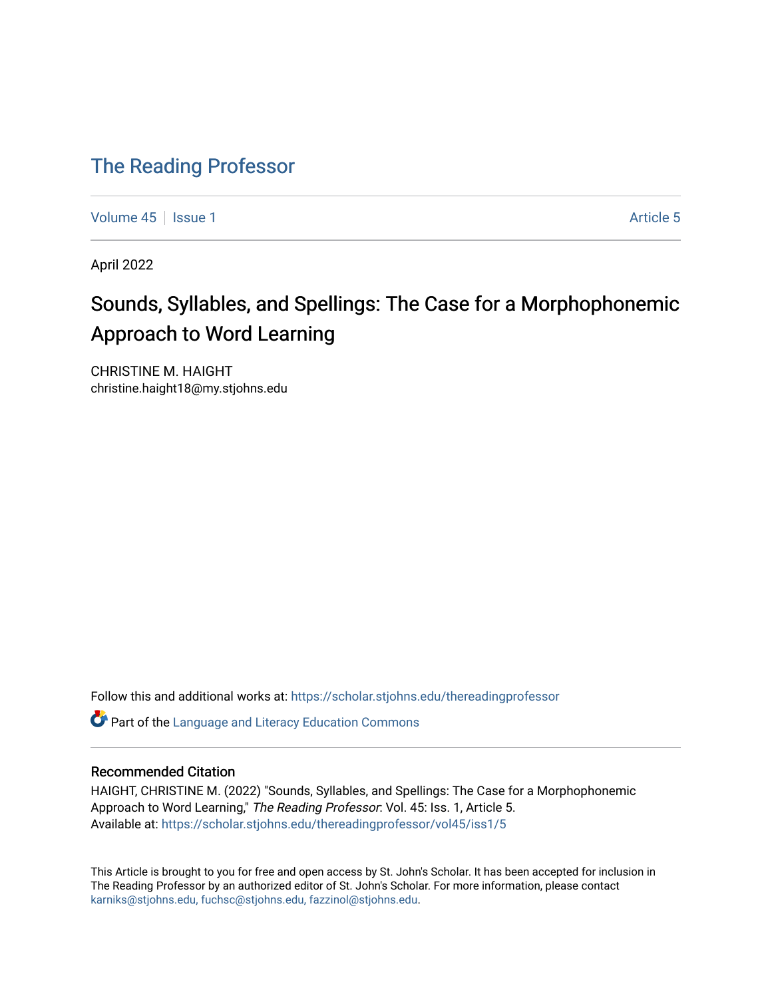# [The Reading Professor](https://scholar.stjohns.edu/thereadingprofessor)

[Volume 45](https://scholar.stjohns.edu/thereadingprofessor/vol45) | [Issue 1](https://scholar.stjohns.edu/thereadingprofessor/vol45/iss1) [Article 5](https://scholar.stjohns.edu/thereadingprofessor/vol45/iss1/5) | Article 5 | Article 5 | Article 5 | Article 5 | Article 5 | Article 5 | Article 5 | Article 5 | Article 5 | Article 5 | Article 5 | Article 5 | Article 5 | Article 5 | Article 5 | Article 5

April 2022

# Sounds, Syllables, and Spellings: The Case for a Morphophonemic Approach to Word Learning

CHRISTINE M. HAIGHT christine.haight18@my.stjohns.edu

Follow this and additional works at: [https://scholar.stjohns.edu/thereadingprofessor](https://scholar.stjohns.edu/thereadingprofessor?utm_source=scholar.stjohns.edu%2Fthereadingprofessor%2Fvol45%2Fiss1%2F5&utm_medium=PDF&utm_campaign=PDFCoverPages) 

**C** Part of the Language and Literacy Education Commons

#### Recommended Citation

HAIGHT, CHRISTINE M. (2022) "Sounds, Syllables, and Spellings: The Case for a Morphophonemic Approach to Word Learning," The Reading Professor: Vol. 45: Iss. 1, Article 5. Available at: [https://scholar.stjohns.edu/thereadingprofessor/vol45/iss1/5](https://scholar.stjohns.edu/thereadingprofessor/vol45/iss1/5?utm_source=scholar.stjohns.edu%2Fthereadingprofessor%2Fvol45%2Fiss1%2F5&utm_medium=PDF&utm_campaign=PDFCoverPages) 

This Article is brought to you for free and open access by St. John's Scholar. It has been accepted for inclusion in The Reading Professor by an authorized editor of St. John's Scholar. For more information, please contact [karniks@stjohns.edu, fuchsc@stjohns.edu, fazzinol@stjohns.edu](mailto:karniks@stjohns.edu,%20fuchsc@stjohns.edu,%20fazzinol@stjohns.edu).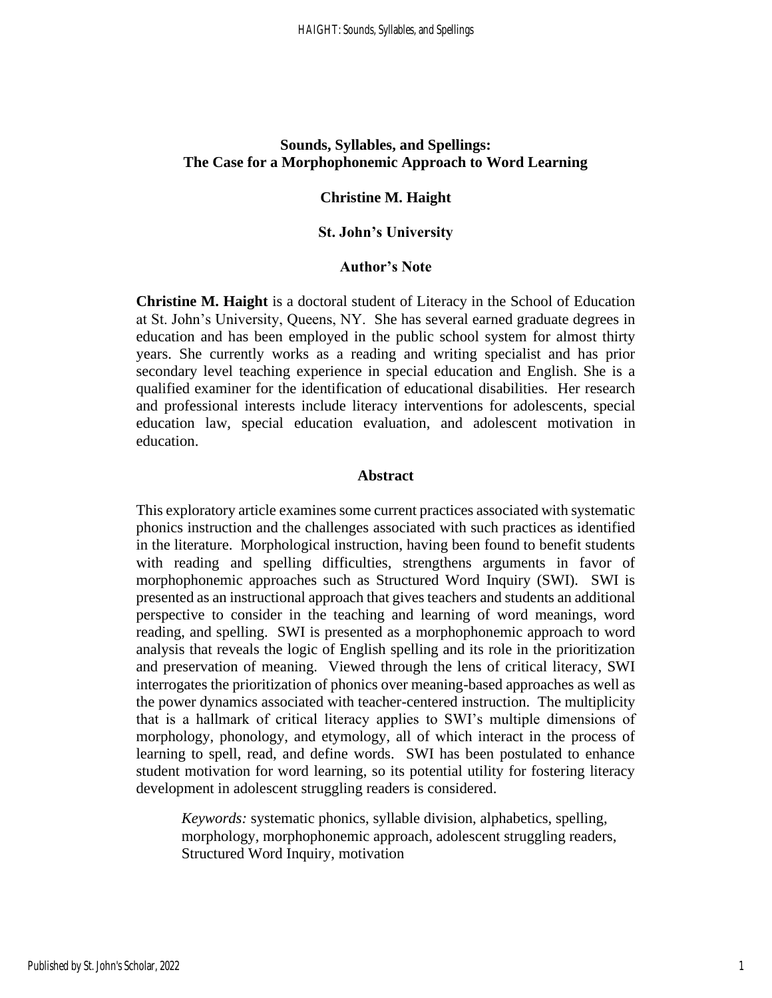# **Sounds, Syllables, and Spellings: The Case for a Morphophonemic Approach to Word Learning**

#### **Christine M. Haight**

#### **St. John's University**

#### **Author's Note**

**Christine M. Haight** is a doctoral student of Literacy in the School of Education at St. John's University, Queens, NY. She has several earned graduate degrees in education and has been employed in the public school system for almost thirty years. She currently works as a reading and writing specialist and has prior secondary level teaching experience in special education and English. She is a qualified examiner for the identification of educational disabilities. Her research and professional interests include literacy interventions for adolescents, special education law, special education evaluation, and adolescent motivation in education.

#### **Abstract**

This exploratory article examines some current practices associated with systematic phonics instruction and the challenges associated with such practices as identified in the literature. Morphological instruction, having been found to benefit students with reading and spelling difficulties, strengthens arguments in favor of morphophonemic approaches such as Structured Word Inquiry (SWI). SWI is presented as an instructional approach that gives teachers and students an additional perspective to consider in the teaching and learning of word meanings, word reading, and spelling. SWI is presented as a morphophonemic approach to word analysis that reveals the logic of English spelling and its role in the prioritization and preservation of meaning. Viewed through the lens of critical literacy, SWI interrogates the prioritization of phonics over meaning-based approaches as well as the power dynamics associated with teacher-centered instruction. The multiplicity that is a hallmark of critical literacy applies to SWI's multiple dimensions of morphology, phonology, and etymology, all of which interact in the process of learning to spell, read, and define words. SWI has been postulated to enhance student motivation for word learning, so its potential utility for fostering literacy development in adolescent struggling readers is considered.

*Keywords:* systematic phonics, syllable division, alphabetics, spelling, morphology, morphophonemic approach, adolescent struggling readers, Structured Word Inquiry, motivation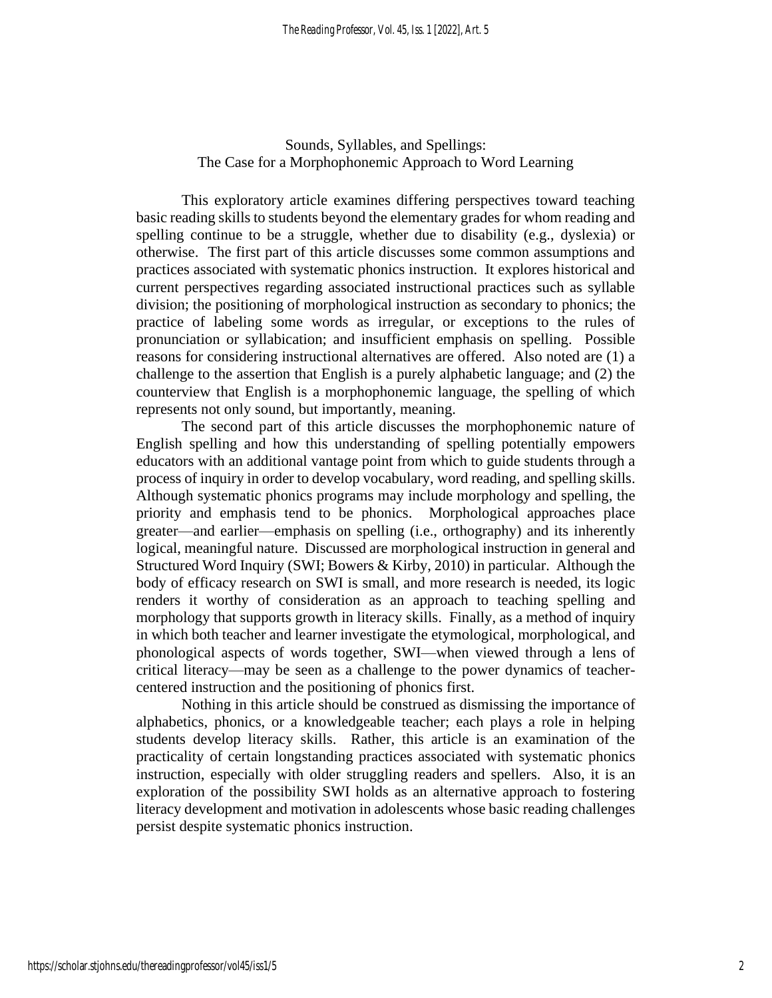# Sounds, Syllables, and Spellings: The Case for a Morphophonemic Approach to Word Learning

This exploratory article examines differing perspectives toward teaching basic reading skills to students beyond the elementary grades for whom reading and spelling continue to be a struggle, whether due to disability (e.g., dyslexia) or otherwise. The first part of this article discusses some common assumptions and practices associated with systematic phonics instruction. It explores historical and current perspectives regarding associated instructional practices such as syllable division; the positioning of morphological instruction as secondary to phonics; the practice of labeling some words as irregular, or exceptions to the rules of pronunciation or syllabication; and insufficient emphasis on spelling. Possible reasons for considering instructional alternatives are offered. Also noted are (1) a challenge to the assertion that English is a purely alphabetic language; and (2) the counterview that English is a morphophonemic language, the spelling of which represents not only sound, but importantly, meaning.

The second part of this article discusses the morphophonemic nature of English spelling and how this understanding of spelling potentially empowers educators with an additional vantage point from which to guide students through a process of inquiry in order to develop vocabulary, word reading, and spelling skills. Although systematic phonics programs may include morphology and spelling, the priority and emphasis tend to be phonics. Morphological approaches place greater—and earlier—emphasis on spelling (i.e., orthography) and its inherently logical, meaningful nature. Discussed are morphological instruction in general and Structured Word Inquiry (SWI; Bowers & Kirby, 2010) in particular. Although the body of efficacy research on SWI is small, and more research is needed, its logic renders it worthy of consideration as an approach to teaching spelling and morphology that supports growth in literacy skills. Finally, as a method of inquiry in which both teacher and learner investigate the etymological, morphological, and phonological aspects of words together, SWI—when viewed through a lens of critical literacy—may be seen as a challenge to the power dynamics of teachercentered instruction and the positioning of phonics first.

Nothing in this article should be construed as dismissing the importance of alphabetics, phonics, or a knowledgeable teacher; each plays a role in helping students develop literacy skills. Rather, this article is an examination of the practicality of certain longstanding practices associated with systematic phonics instruction, especially with older struggling readers and spellers. Also, it is an exploration of the possibility SWI holds as an alternative approach to fostering literacy development and motivation in adolescents whose basic reading challenges persist despite systematic phonics instruction.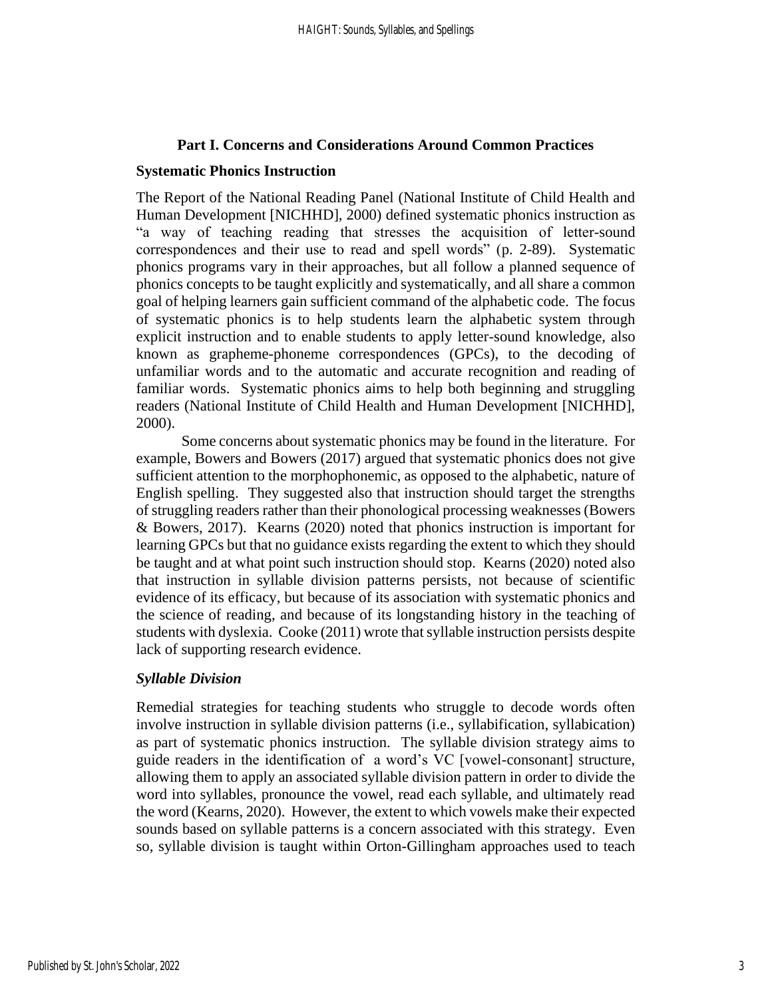#### **Part I. Concerns and Considerations Around Common Practices**

#### **Systematic Phonics Instruction**

The Report of the National Reading Panel (National Institute of Child Health and Human Development [NICHHD], 2000) defined systematic phonics instruction as "a way of teaching reading that stresses the acquisition of letter-sound correspondences and their use to read and spell words" (p. 2-89). Systematic phonics programs vary in their approaches, but all follow a planned sequence of phonics concepts to be taught explicitly and systematically, and all share a common goal of helping learners gain sufficient command of the alphabetic code. The focus of systematic phonics is to help students learn the alphabetic system through explicit instruction and to enable students to apply letter-sound knowledge, also known as grapheme-phoneme correspondences (GPCs), to the decoding of unfamiliar words and to the automatic and accurate recognition and reading of familiar words. Systematic phonics aims to help both beginning and struggling readers (National Institute of Child Health and Human Development [NICHHD], 2000).

Some concerns about systematic phonics may be found in the literature. For example, Bowers and Bowers (2017) argued that systematic phonics does not give sufficient attention to the morphophonemic, as opposed to the alphabetic, nature of English spelling. They suggested also that instruction should target the strengths of struggling readers rather than their phonological processing weaknesses (Bowers & Bowers, 2017). Kearns (2020) noted that phonics instruction is important for learning GPCs but that no guidance exists regarding the extent to which they should be taught and at what point such instruction should stop. Kearns (2020) noted also that instruction in syllable division patterns persists, not because of scientific evidence of its efficacy, but because of its association with systematic phonics and the science of reading, and because of its longstanding history in the teaching of students with dyslexia. Cooke (2011) wrote that syllable instruction persists despite lack of supporting research evidence.

# *Syllable Division*

Remedial strategies for teaching students who struggle to decode words often involve instruction in syllable division patterns (i.e., syllabification, syllabication) as part of systematic phonics instruction. The syllable division strategy aims to guide readers in the identification of a word's VC [vowel-consonant] structure, allowing them to apply an associated syllable division pattern in order to divide the word into syllables, pronounce the vowel, read each syllable, and ultimately read the word (Kearns, 2020). However, the extent to which vowels make their expected sounds based on syllable patterns is a concern associated with this strategy. Even so, syllable division is taught within Orton-Gillingham approaches used to teach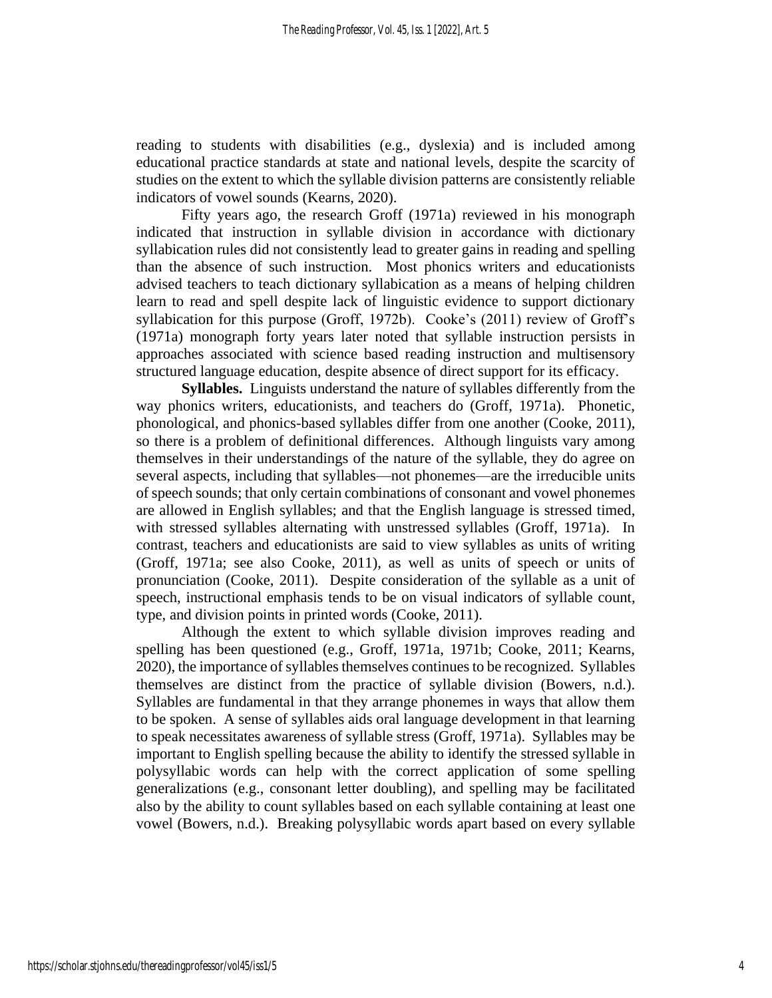reading to students with disabilities (e.g., dyslexia) and is included among educational practice standards at state and national levels, despite the scarcity of studies on the extent to which the syllable division patterns are consistently reliable indicators of vowel sounds (Kearns, 2020).

Fifty years ago, the research Groff (1971a) reviewed in his monograph indicated that instruction in syllable division in accordance with dictionary syllabication rules did not consistently lead to greater gains in reading and spelling than the absence of such instruction. Most phonics writers and educationists advised teachers to teach dictionary syllabication as a means of helping children learn to read and spell despite lack of linguistic evidence to support dictionary syllabication for this purpose (Groff, 1972b). Cooke's (2011) review of Groff's (1971a) monograph forty years later noted that syllable instruction persists in approaches associated with science based reading instruction and multisensory structured language education, despite absence of direct support for its efficacy.

**Syllables.** Linguists understand the nature of syllables differently from the way phonics writers, educationists, and teachers do (Groff, 1971a). Phonetic, phonological, and phonics-based syllables differ from one another (Cooke, 2011), so there is a problem of definitional differences. Although linguists vary among themselves in their understandings of the nature of the syllable, they do agree on several aspects, including that syllables—not phonemes—are the irreducible units of speech sounds; that only certain combinations of consonant and vowel phonemes are allowed in English syllables; and that the English language is stressed timed, with stressed syllables alternating with unstressed syllables (Groff, 1971a). In contrast, teachers and educationists are said to view syllables as units of writing (Groff, 1971a; see also Cooke, 2011), as well as units of speech or units of pronunciation (Cooke, 2011). Despite consideration of the syllable as a unit of speech, instructional emphasis tends to be on visual indicators of syllable count, type, and division points in printed words (Cooke, 2011).

Although the extent to which syllable division improves reading and spelling has been questioned (e.g., Groff, 1971a, 1971b; Cooke, 2011; Kearns, 2020), the importance of syllables themselves continues to be recognized. Syllables themselves are distinct from the practice of syllable division (Bowers, n.d.). Syllables are fundamental in that they arrange phonemes in ways that allow them to be spoken. A sense of syllables aids oral language development in that learning to speak necessitates awareness of syllable stress (Groff, 1971a). Syllables may be important to English spelling because the ability to identify the stressed syllable in polysyllabic words can help with the correct application of some spelling generalizations (e.g., consonant letter doubling), and spelling may be facilitated also by the ability to count syllables based on each syllable containing at least one vowel (Bowers, n.d.). Breaking polysyllabic words apart based on every syllable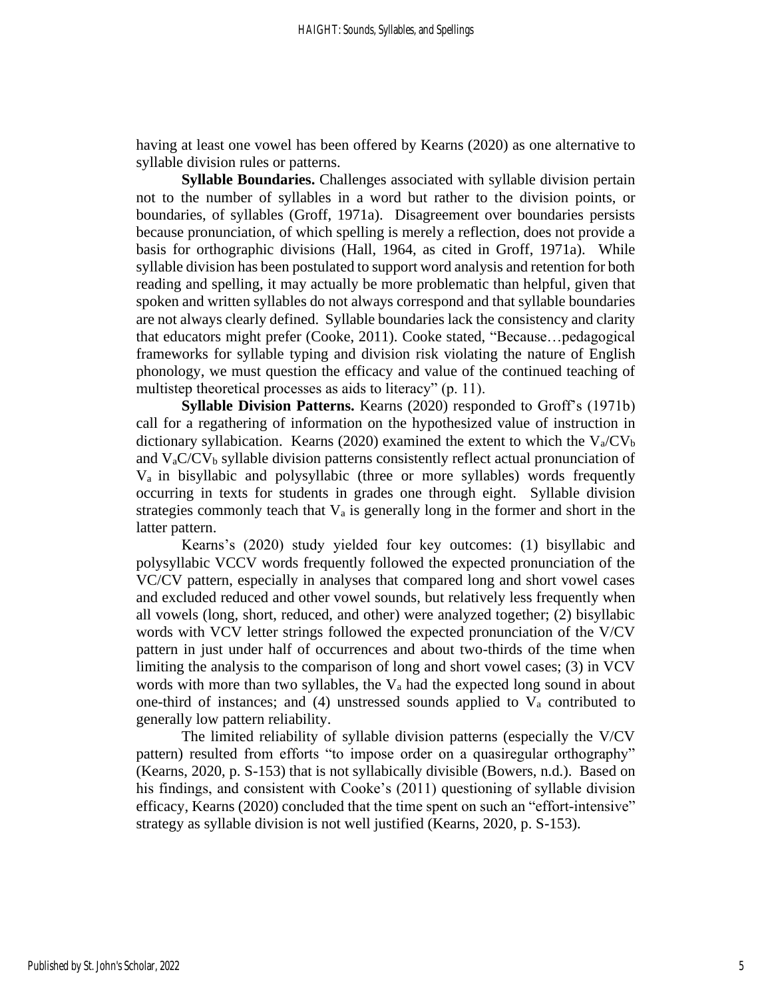having at least one vowel has been offered by Kearns (2020) as one alternative to syllable division rules or patterns.

**Syllable Boundaries.** Challenges associated with syllable division pertain not to the number of syllables in a word but rather to the division points, or boundaries, of syllables (Groff, 1971a). Disagreement over boundaries persists because pronunciation, of which spelling is merely a reflection, does not provide a basis for orthographic divisions (Hall, 1964, as cited in Groff, 1971a). While syllable division has been postulated to support word analysis and retention for both reading and spelling, it may actually be more problematic than helpful, given that spoken and written syllables do not always correspond and that syllable boundaries are not always clearly defined. Syllable boundaries lack the consistency and clarity that educators might prefer (Cooke, 2011). Cooke stated, "Because…pedagogical frameworks for syllable typing and division risk violating the nature of English phonology, we must question the efficacy and value of the continued teaching of multistep theoretical processes as aids to literacy" (p. 11).

**Syllable Division Patterns.** Kearns (2020) responded to Groff's (1971b) call for a regathering of information on the hypothesized value of instruction in dictionary syllabication. Kearns (2020) examined the extent to which the  $V_a/CV_b$ and  $V_aC/V_b$  syllable division patterns consistently reflect actual pronunciation of Va in bisyllabic and polysyllabic (three or more syllables) words frequently occurring in texts for students in grades one through eight. Syllable division strategies commonly teach that  $V_a$  is generally long in the former and short in the latter pattern.

Kearns's (2020) study yielded four key outcomes: (1) bisyllabic and polysyllabic VCCV words frequently followed the expected pronunciation of the VC/CV pattern, especially in analyses that compared long and short vowel cases and excluded reduced and other vowel sounds, but relatively less frequently when all vowels (long, short, reduced, and other) were analyzed together; (2) bisyllabic words with VCV letter strings followed the expected pronunciation of the V/CV pattern in just under half of occurrences and about two-thirds of the time when limiting the analysis to the comparison of long and short vowel cases; (3) in VCV words with more than two syllables, the  $V_a$  had the expected long sound in about one-third of instances; and (4) unstressed sounds applied to  $V_a$  contributed to generally low pattern reliability.

The limited reliability of syllable division patterns (especially the V/CV pattern) resulted from efforts "to impose order on a quasiregular orthography" (Kearns, 2020, p. S-153) that is not syllabically divisible (Bowers, n.d.). Based on his findings, and consistent with Cooke's (2011) questioning of syllable division efficacy, Kearns (2020) concluded that the time spent on such an "effort-intensive" strategy as syllable division is not well justified (Kearns, 2020, p. S-153).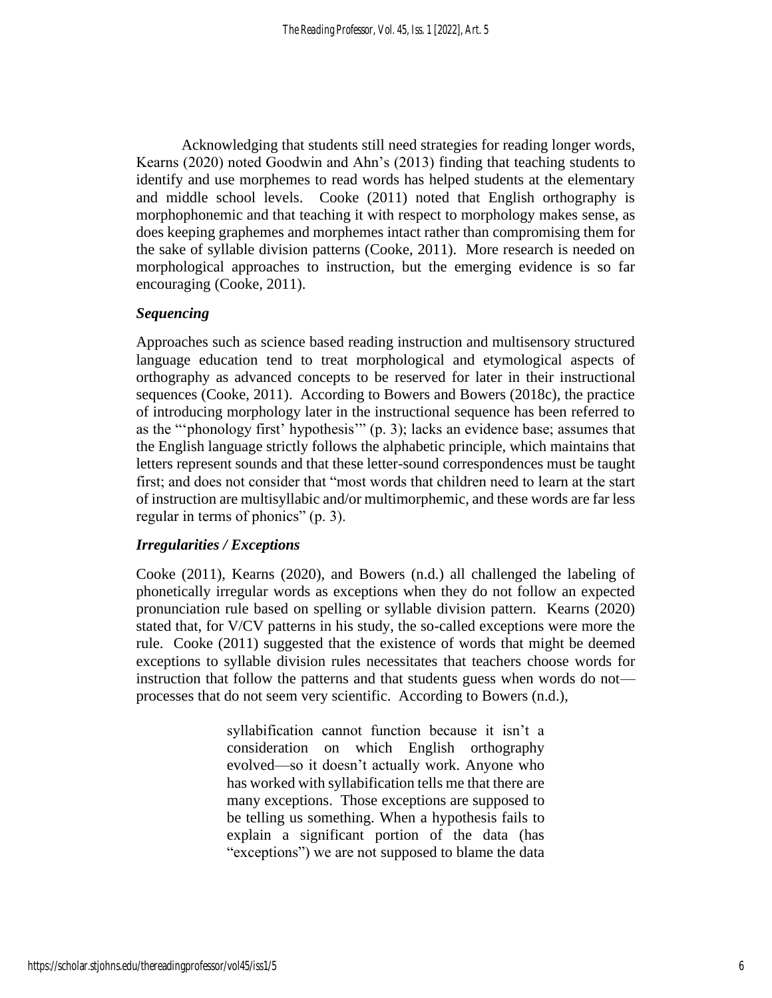Acknowledging that students still need strategies for reading longer words, Kearns (2020) noted Goodwin and Ahn's (2013) finding that teaching students to identify and use morphemes to read words has helped students at the elementary and middle school levels. Cooke (2011) noted that English orthography is morphophonemic and that teaching it with respect to morphology makes sense, as does keeping graphemes and morphemes intact rather than compromising them for the sake of syllable division patterns (Cooke, 2011). More research is needed on morphological approaches to instruction, but the emerging evidence is so far encouraging (Cooke, 2011).

#### *Sequencing*

Approaches such as science based reading instruction and multisensory structured language education tend to treat morphological and etymological aspects of orthography as advanced concepts to be reserved for later in their instructional sequences (Cooke, 2011). According to Bowers and Bowers (2018c), the practice of introducing morphology later in the instructional sequence has been referred to as the "'phonology first' hypothesis'" (p. 3); lacks an evidence base; assumes that the English language strictly follows the alphabetic principle, which maintains that letters represent sounds and that these letter-sound correspondences must be taught first; and does not consider that "most words that children need to learn at the start of instruction are multisyllabic and/or multimorphemic, and these words are far less regular in terms of phonics" (p. 3).

# *Irregularities / Exceptions*

Cooke (2011), Kearns (2020), and Bowers (n.d.) all challenged the labeling of phonetically irregular words as exceptions when they do not follow an expected pronunciation rule based on spelling or syllable division pattern. Kearns (2020) stated that, for V/CV patterns in his study, the so-called exceptions were more the rule. Cooke (2011) suggested that the existence of words that might be deemed exceptions to syllable division rules necessitates that teachers choose words for instruction that follow the patterns and that students guess when words do not processes that do not seem very scientific. According to Bowers (n.d.),

> syllabification cannot function because it isn't a consideration on which English orthography evolved—so it doesn't actually work. Anyone who has worked with syllabification tells me that there are many exceptions. Those exceptions are supposed to be telling us something. When a hypothesis fails to explain a significant portion of the data (has "exceptions") we are not supposed to blame the data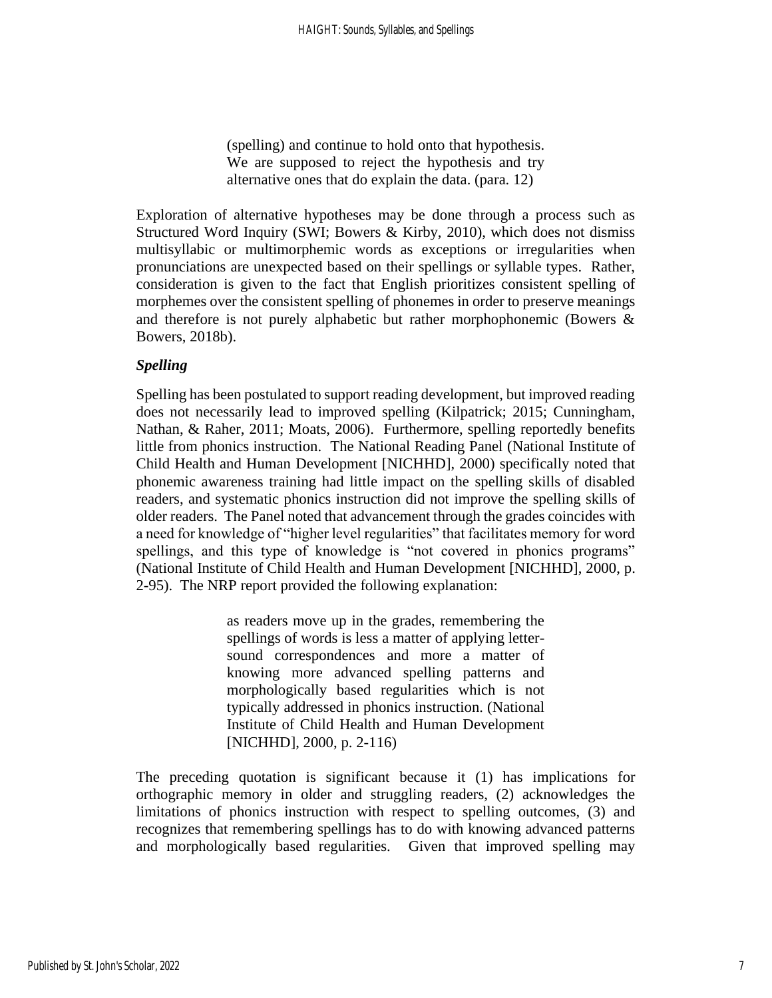(spelling) and continue to hold onto that hypothesis. We are supposed to reject the hypothesis and try alternative ones that do explain the data. (para. 12)

Exploration of alternative hypotheses may be done through a process such as Structured Word Inquiry (SWI; Bowers & Kirby, 2010), which does not dismiss multisyllabic or multimorphemic words as exceptions or irregularities when pronunciations are unexpected based on their spellings or syllable types. Rather, consideration is given to the fact that English prioritizes consistent spelling of morphemes over the consistent spelling of phonemes in order to preserve meanings and therefore is not purely alphabetic but rather morphophonemic (Bowers & Bowers, 2018b).

# *Spelling*

Spelling has been postulated to support reading development, but improved reading does not necessarily lead to improved spelling (Kilpatrick; 2015; Cunningham, Nathan, & Raher, 2011; Moats, 2006). Furthermore, spelling reportedly benefits little from phonics instruction. The National Reading Panel (National Institute of Child Health and Human Development [NICHHD], 2000) specifically noted that phonemic awareness training had little impact on the spelling skills of disabled readers, and systematic phonics instruction did not improve the spelling skills of older readers. The Panel noted that advancement through the grades coincides with a need for knowledge of "higher level regularities" that facilitates memory for word spellings, and this type of knowledge is "not covered in phonics programs" (National Institute of Child Health and Human Development [NICHHD], 2000, p. 2-95). The NRP report provided the following explanation:

> as readers move up in the grades, remembering the spellings of words is less a matter of applying lettersound correspondences and more a matter of knowing more advanced spelling patterns and morphologically based regularities which is not typically addressed in phonics instruction. (National Institute of Child Health and Human Development [NICHHD], 2000, p. 2-116)

The preceding quotation is significant because it (1) has implications for orthographic memory in older and struggling readers, (2) acknowledges the limitations of phonics instruction with respect to spelling outcomes, (3) and recognizes that remembering spellings has to do with knowing advanced patterns and morphologically based regularities. Given that improved spelling may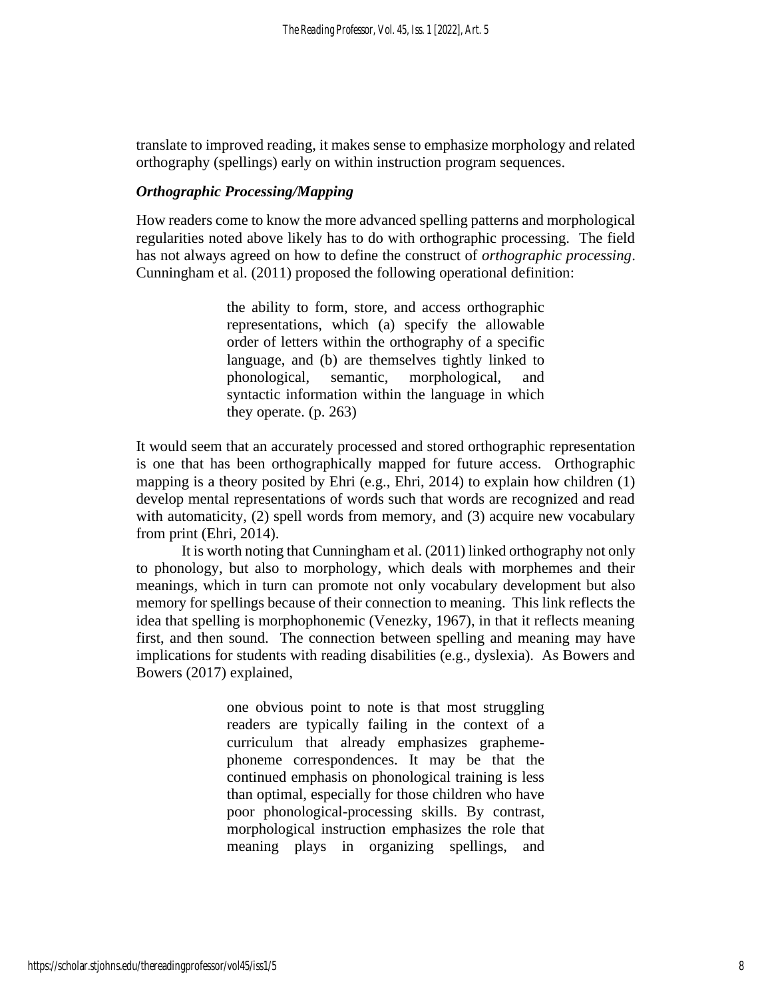translate to improved reading, it makes sense to emphasize morphology and related orthography (spellings) early on within instruction program sequences.

# *Orthographic Processing/Mapping*

How readers come to know the more advanced spelling patterns and morphological regularities noted above likely has to do with orthographic processing. The field has not always agreed on how to define the construct of *orthographic processing*. Cunningham et al. (2011) proposed the following operational definition:

> the ability to form, store, and access orthographic representations, which (a) specify the allowable order of letters within the orthography of a specific language, and (b) are themselves tightly linked to phonological, semantic, morphological, and syntactic information within the language in which they operate. (p. 263)

It would seem that an accurately processed and stored orthographic representation is one that has been orthographically mapped for future access. Orthographic mapping is a theory posited by Ehri (e.g., Ehri, 2014) to explain how children (1) develop mental representations of words such that words are recognized and read with automaticity, (2) spell words from memory, and (3) acquire new vocabulary from print (Ehri, 2014).

It is worth noting that Cunningham et al. (2011) linked orthography not only to phonology, but also to morphology, which deals with morphemes and their meanings, which in turn can promote not only vocabulary development but also memory for spellings because of their connection to meaning. This link reflects the idea that spelling is morphophonemic (Venezky, 1967), in that it reflects meaning first, and then sound. The connection between spelling and meaning may have implications for students with reading disabilities (e.g., dyslexia). As Bowers and Bowers (2017) explained,

> one obvious point to note is that most struggling readers are typically failing in the context of a curriculum that already emphasizes graphemephoneme correspondences. It may be that the continued emphasis on phonological training is less than optimal, especially for those children who have poor phonological-processing skills. By contrast, morphological instruction emphasizes the role that meaning plays in organizing spellings, and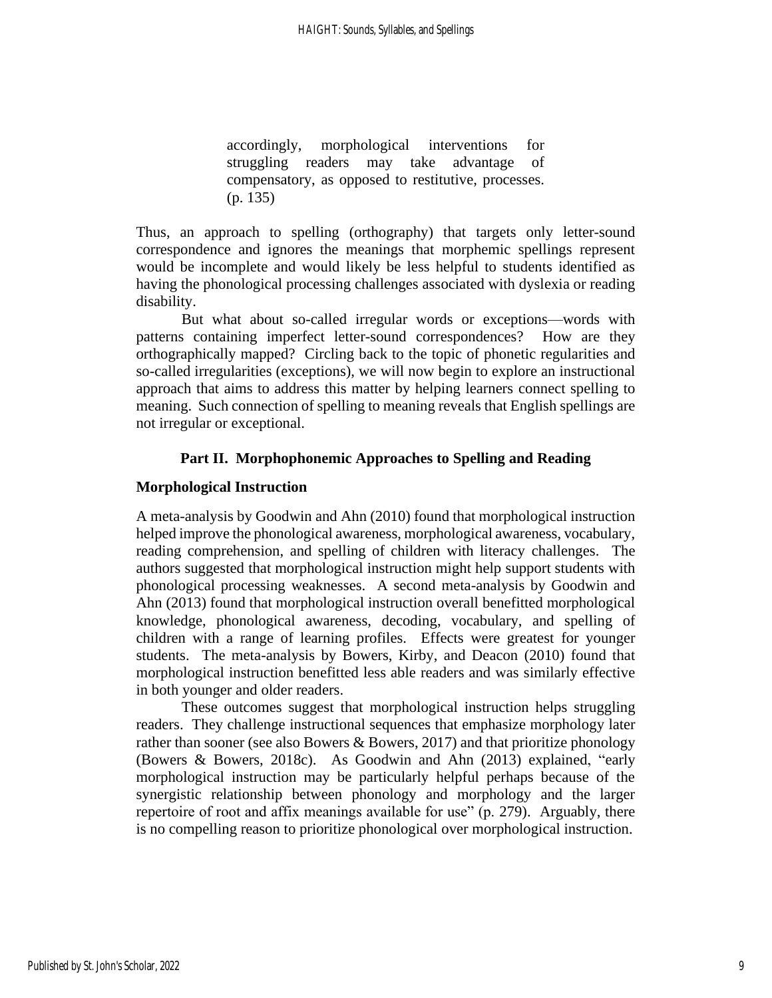accordingly, morphological interventions for struggling readers may take advantage of compensatory, as opposed to restitutive, processes. (p. 135)

Thus, an approach to spelling (orthography) that targets only letter-sound correspondence and ignores the meanings that morphemic spellings represent would be incomplete and would likely be less helpful to students identified as having the phonological processing challenges associated with dyslexia or reading disability.

But what about so-called irregular words or exceptions—words with patterns containing imperfect letter-sound correspondences? How are they orthographically mapped? Circling back to the topic of phonetic regularities and so-called irregularities (exceptions), we will now begin to explore an instructional approach that aims to address this matter by helping learners connect spelling to meaning. Such connection of spelling to meaning reveals that English spellings are not irregular or exceptional.

# **Part II. Morphophonemic Approaches to Spelling and Reading**

# **Morphological Instruction**

A meta-analysis by Goodwin and Ahn (2010) found that morphological instruction helped improve the phonological awareness, morphological awareness, vocabulary, reading comprehension, and spelling of children with literacy challenges. The authors suggested that morphological instruction might help support students with phonological processing weaknesses. A second meta-analysis by Goodwin and Ahn (2013) found that morphological instruction overall benefitted morphological knowledge, phonological awareness, decoding, vocabulary, and spelling of children with a range of learning profiles. Effects were greatest for younger students. The meta-analysis by Bowers, Kirby, and Deacon (2010) found that morphological instruction benefitted less able readers and was similarly effective in both younger and older readers.

These outcomes suggest that morphological instruction helps struggling readers. They challenge instructional sequences that emphasize morphology later rather than sooner (see also Bowers & Bowers, 2017) and that prioritize phonology (Bowers & Bowers, 2018c). As Goodwin and Ahn (2013) explained, "early morphological instruction may be particularly helpful perhaps because of the synergistic relationship between phonology and morphology and the larger repertoire of root and affix meanings available for use" (p. 279). Arguably, there is no compelling reason to prioritize phonological over morphological instruction.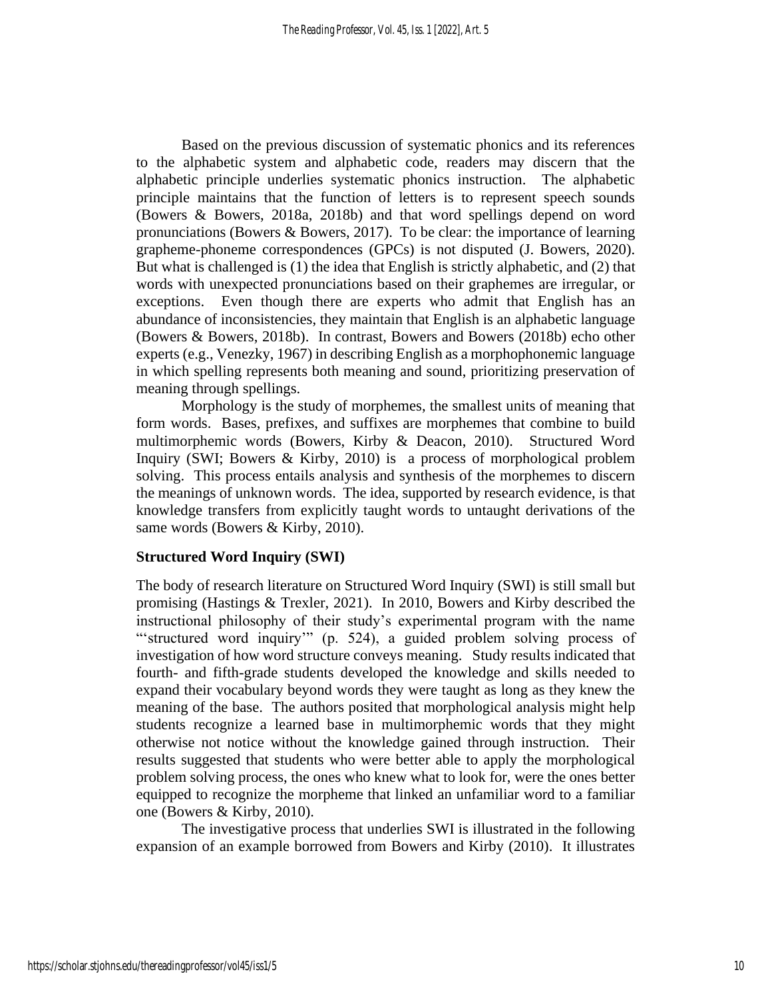Based on the previous discussion of systematic phonics and its references to the alphabetic system and alphabetic code, readers may discern that the alphabetic principle underlies systematic phonics instruction. The alphabetic principle maintains that the function of letters is to represent speech sounds (Bowers & Bowers, 2018a, 2018b) and that word spellings depend on word pronunciations (Bowers & Bowers, 2017). To be clear: the importance of learning grapheme-phoneme correspondences (GPCs) is not disputed (J. Bowers, 2020). But what is challenged is (1) the idea that English is strictly alphabetic, and (2) that words with unexpected pronunciations based on their graphemes are irregular, or exceptions. Even though there are experts who admit that English has an abundance of inconsistencies, they maintain that English is an alphabetic language (Bowers & Bowers, 2018b). In contrast, Bowers and Bowers (2018b) echo other experts (e.g., Venezky, 1967) in describing English as a morphophonemic language in which spelling represents both meaning and sound, prioritizing preservation of meaning through spellings.

Morphology is the study of morphemes, the smallest units of meaning that form words. Bases, prefixes, and suffixes are morphemes that combine to build multimorphemic words (Bowers, Kirby & Deacon, 2010). Structured Word Inquiry (SWI; Bowers & Kirby, 2010) is a process of morphological problem solving. This process entails analysis and synthesis of the morphemes to discern the meanings of unknown words. The idea, supported by research evidence, is that knowledge transfers from explicitly taught words to untaught derivations of the same words (Bowers & Kirby, 2010).

# **Structured Word Inquiry (SWI)**

The body of research literature on Structured Word Inquiry (SWI) is still small but promising (Hastings & Trexler, 2021). In 2010, Bowers and Kirby described the instructional philosophy of their study's experimental program with the name "structured word inquiry" (p. 524), a guided problem solving process of investigation of how word structure conveys meaning. Study results indicated that fourth- and fifth-grade students developed the knowledge and skills needed to expand their vocabulary beyond words they were taught as long as they knew the meaning of the base. The authors posited that morphological analysis might help students recognize a learned base in multimorphemic words that they might otherwise not notice without the knowledge gained through instruction. Their results suggested that students who were better able to apply the morphological problem solving process, the ones who knew what to look for, were the ones better equipped to recognize the morpheme that linked an unfamiliar word to a familiar one (Bowers & Kirby, 2010).

The investigative process that underlies SWI is illustrated in the following expansion of an example borrowed from Bowers and Kirby (2010). It illustrates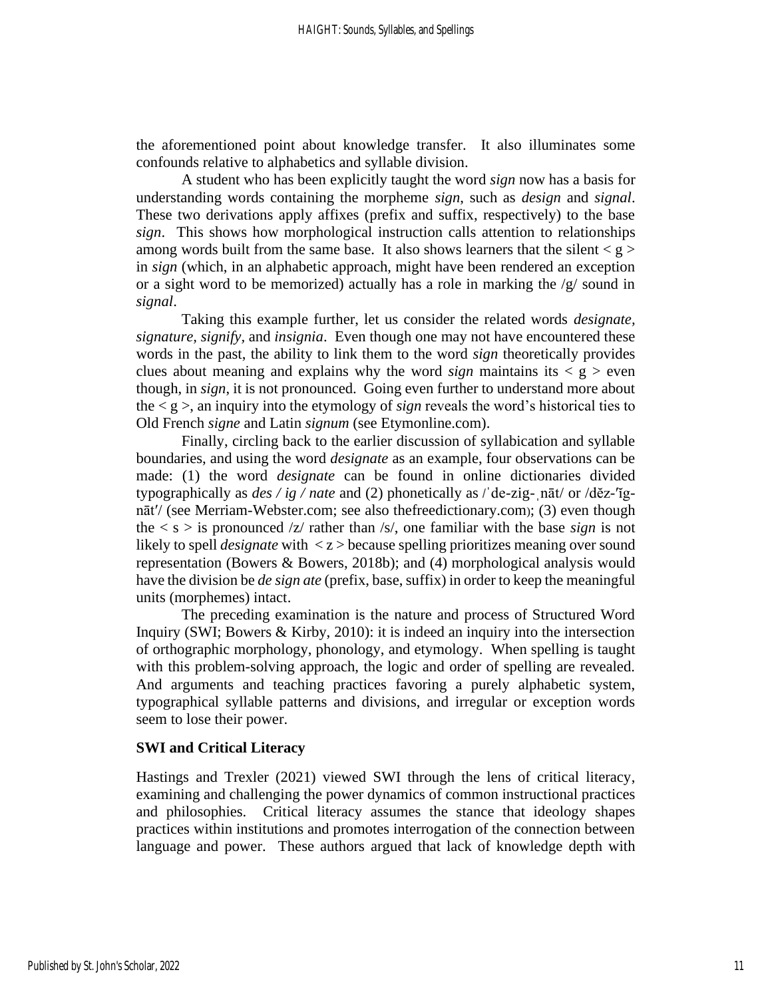the aforementioned point about knowledge transfer. It also illuminates some confounds relative to alphabetics and syllable division.

A student who has been explicitly taught the word *sign* now has a basis for understanding words containing the morpheme *sign*, such as *design* and *signal*. These two derivations apply affixes (prefix and suffix, respectively) to the base *sign*. This shows how morphological instruction calls attention to relationships among words built from the same base. It also shows learners that the silent  $\langle g \rangle$ in *sign* (which, in an alphabetic approach, might have been rendered an exception or a sight word to be memorized) actually has a role in marking the /g/ sound in *signal*.

Taking this example further, let us consider the related words *designate, signature, signify,* and *insignia*. Even though one may not have encountered these words in the past, the ability to link them to the word *sign* theoretically provides clues about meaning and explains why the word *sign* maintains its  $\leq g$   $\geq$  even though, in *sign*, it is not pronounced. Going even further to understand more about the  $\lt q \gt$ , an inquiry into the etymology of *sign* reveals the word's historical ties to Old French *signe* and Latin *signum* (see Etymonline.com).

Finally, circling back to the earlier discussion of syllabication and syllable boundaries, and using the word *designate* as an example, four observations can be made: (1) the word *designate* can be found in online dictionaries divided typographically as  $des / ig / nate$  and (2) phonetically as  $\ell$  de-zig-nāt/ or  $\ell$ děz-'ignāt′/ (see Merriam-Webster.com; see also thefreedictionary.com); (3) even though the  $\langle s \rangle$  is pronounced  $\langle z \rangle$  rather than  $\langle s \rangle$ , one familiar with the base *sign* is not likely to spell *designate* with < z > because spelling prioritizes meaning over sound representation (Bowers & Bowers, 2018b); and (4) morphological analysis would have the division be *de sign ate* (prefix, base, suffix) in order to keep the meaningful units (morphemes) intact.

The preceding examination is the nature and process of Structured Word Inquiry (SWI; Bowers & Kirby, 2010): it is indeed an inquiry into the intersection of orthographic morphology, phonology, and etymology. When spelling is taught with this problem-solving approach, the logic and order of spelling are revealed. And arguments and teaching practices favoring a purely alphabetic system, typographical syllable patterns and divisions, and irregular or exception words seem to lose their power.

#### **SWI and Critical Literacy**

Hastings and Trexler (2021) viewed SWI through the lens of critical literacy, examining and challenging the power dynamics of common instructional practices and philosophies. Critical literacy assumes the stance that ideology shapes practices within institutions and promotes interrogation of the connection between language and power. These authors argued that lack of knowledge depth with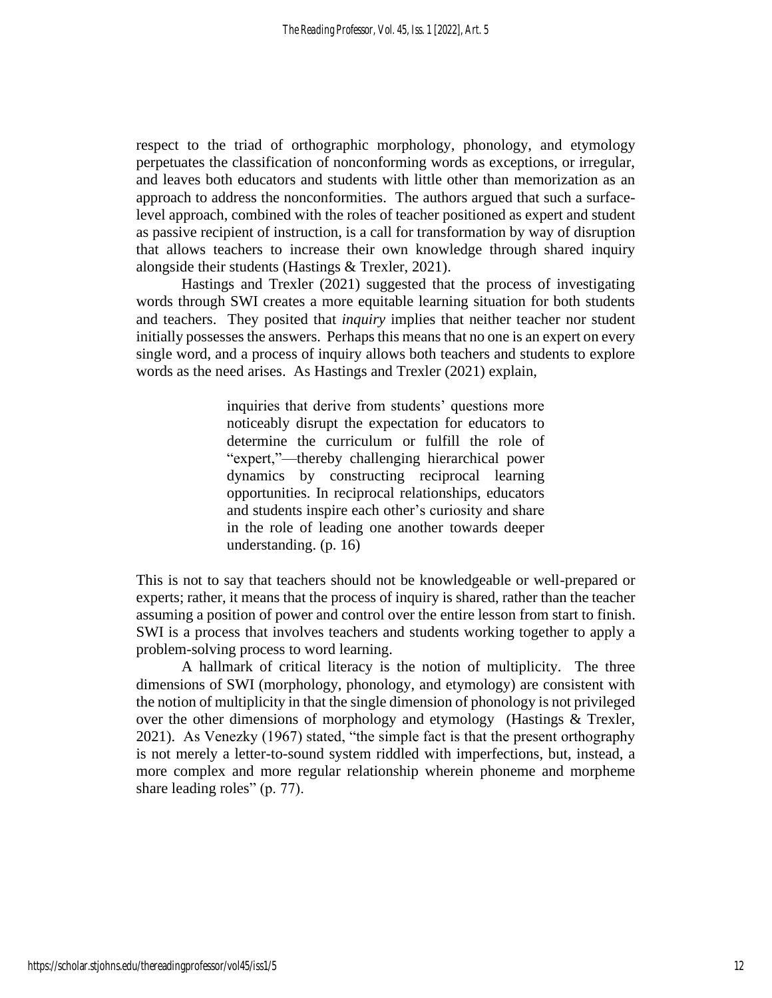respect to the triad of orthographic morphology, phonology, and etymology perpetuates the classification of nonconforming words as exceptions, or irregular, and leaves both educators and students with little other than memorization as an approach to address the nonconformities. The authors argued that such a surfacelevel approach, combined with the roles of teacher positioned as expert and student as passive recipient of instruction, is a call for transformation by way of disruption that allows teachers to increase their own knowledge through shared inquiry alongside their students (Hastings & Trexler, 2021).

Hastings and Trexler (2021) suggested that the process of investigating words through SWI creates a more equitable learning situation for both students and teachers. They posited that *inquiry* implies that neither teacher nor student initially possesses the answers. Perhaps this means that no one is an expert on every single word, and a process of inquiry allows both teachers and students to explore words as the need arises. As Hastings and Trexler (2021) explain,

> inquiries that derive from students' questions more noticeably disrupt the expectation for educators to determine the curriculum or fulfill the role of "expert,"—thereby challenging hierarchical power dynamics by constructing reciprocal learning opportunities. In reciprocal relationships, educators and students inspire each other's curiosity and share in the role of leading one another towards deeper understanding. (p. 16)

This is not to say that teachers should not be knowledgeable or well-prepared or experts; rather, it means that the process of inquiry is shared, rather than the teacher assuming a position of power and control over the entire lesson from start to finish. SWI is a process that involves teachers and students working together to apply a problem-solving process to word learning.

A hallmark of critical literacy is the notion of multiplicity. The three dimensions of SWI (morphology, phonology, and etymology) are consistent with the notion of multiplicity in that the single dimension of phonology is not privileged over the other dimensions of morphology and etymology (Hastings & Trexler, 2021). As Venezky (1967) stated, "the simple fact is that the present orthography is not merely a letter-to-sound system riddled with imperfections, but, instead, a more complex and more regular relationship wherein phoneme and morpheme share leading roles" (p. 77).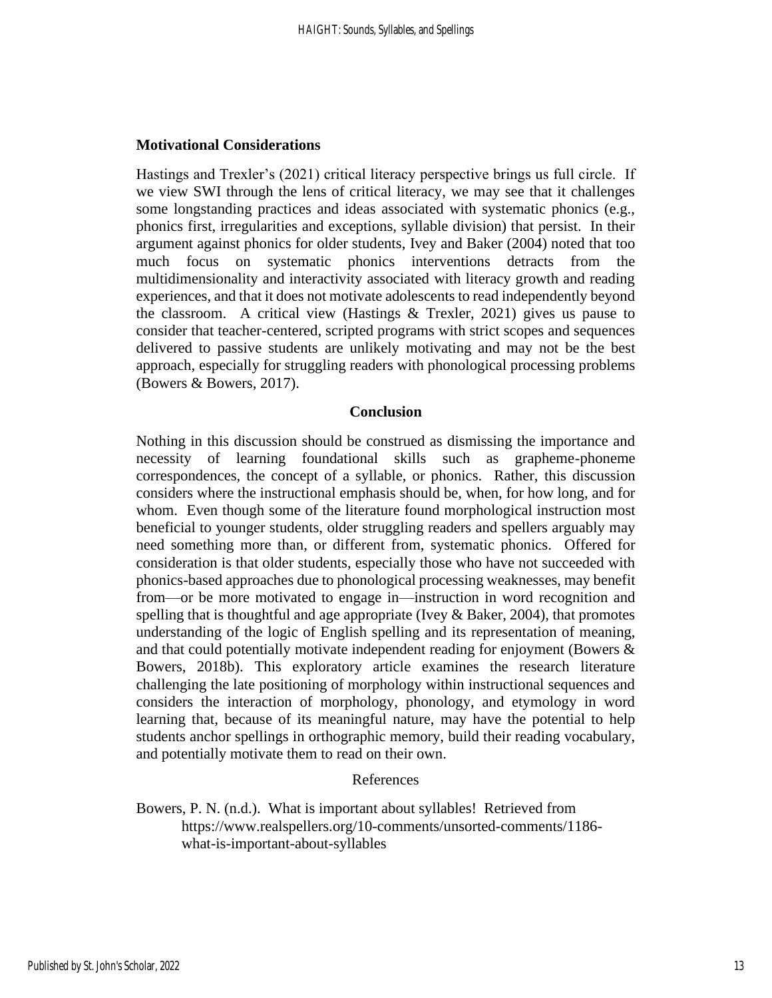# **Motivational Considerations**

Hastings and Trexler's (2021) critical literacy perspective brings us full circle. If we view SWI through the lens of critical literacy, we may see that it challenges some longstanding practices and ideas associated with systematic phonics (e.g., phonics first, irregularities and exceptions, syllable division) that persist. In their argument against phonics for older students, Ivey and Baker (2004) noted that too much focus on systematic phonics interventions detracts from the multidimensionality and interactivity associated with literacy growth and reading experiences, and that it does not motivate adolescents to read independently beyond the classroom. A critical view (Hastings  $&$  Trexler, 2021) gives us pause to consider that teacher-centered, scripted programs with strict scopes and sequences delivered to passive students are unlikely motivating and may not be the best approach, especially for struggling readers with phonological processing problems (Bowers & Bowers, 2017).

#### **Conclusion**

Nothing in this discussion should be construed as dismissing the importance and necessity of learning foundational skills such as grapheme-phoneme correspondences, the concept of a syllable, or phonics. Rather, this discussion considers where the instructional emphasis should be, when, for how long, and for whom. Even though some of the literature found morphological instruction most beneficial to younger students, older struggling readers and spellers arguably may need something more than, or different from, systematic phonics. Offered for consideration is that older students, especially those who have not succeeded with phonics-based approaches due to phonological processing weaknesses, may benefit from—or be more motivated to engage in—instruction in word recognition and spelling that is thoughtful and age appropriate (Ivey  $\&$  Baker, 2004), that promotes understanding of the logic of English spelling and its representation of meaning, and that could potentially motivate independent reading for enjoyment (Bowers & Bowers, 2018b). This exploratory article examines the research literature challenging the late positioning of morphology within instructional sequences and considers the interaction of morphology, phonology, and etymology in word learning that, because of its meaningful nature, may have the potential to help students anchor spellings in orthographic memory, build their reading vocabulary, and potentially motivate them to read on their own.

#### References

Bowers, P. N. (n.d.). What is important about syllables! Retrieved from https://www.realspellers.org/10-comments/unsorted-comments/1186 what-is-important-about-syllables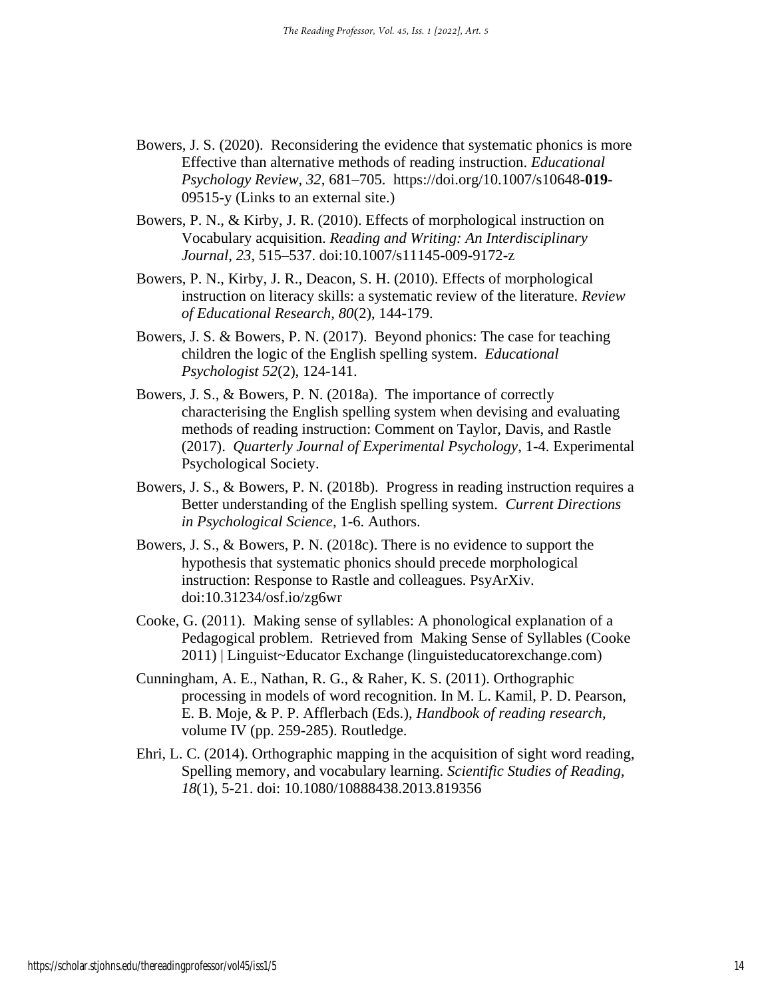- Bowers, J. S. (2020). Reconsidering the evidence that systematic phonics is more Effective than alternative methods of reading instruction. *Educational Psychology Review, 32*, 681–705. https://doi.org/10.1007/s10648-**019**- 09515-y (Links to an external site.)
- Bowers, P. N., & Kirby, J. R. (2010). Effects of morphological instruction on Vocabulary acquisition. *Reading and Writing: An Interdisciplinary Journal, 23*, 515–537. doi:10.1007/s11145-009-9172-z
- Bowers, P. N., Kirby, J. R., Deacon, S. H. (2010). Effects of morphological instruction on literacy skills: a systematic review of the literature. *Review of Educational Research, 80*(2), 144-179.
- Bowers, J. S. & Bowers, P. N. (2017). Beyond phonics: The case for teaching children the logic of the English spelling system. *Educational Psychologist 52*(2), 124-141.
- Bowers, J. S., & Bowers, P. N. (2018a). The importance of correctly characterising the English spelling system when devising and evaluating methods of reading instruction: Comment on Taylor, Davis, and Rastle (2017). *Quarterly Journal of Experimental Psychology*, 1-4. Experimental Psychological Society.
- Bowers, J. S., & Bowers, P. N. (2018b). Progress in reading instruction requires a Better understanding of the English spelling system. *Current Directions in Psychological Science*, 1-6. Authors.
- Bowers, J. S., & Bowers, P. N. (2018c). There is no evidence to support the hypothesis that systematic phonics should precede morphological instruction: Response to Rastle and colleagues. PsyArXiv. doi:10.31234/osf.io/zg6wr
- Cooke, G. (2011). Making sense of syllables: A phonological explanation of a Pedagogical problem. Retrieved from Making Sense of Syllables (Cooke 2011) | Linguist~Educator Exchange (linguisteducatorexchange.com)
- Cunningham, A. E., Nathan, R. G., & Raher, K. S. (2011). Orthographic processing in models of word recognition. In M. L. Kamil, P. D. Pearson, E. B. Moje, & P. P. Afflerbach (Eds.), *Handbook of reading research*, volume IV (pp. 259-285). Routledge.
- Ehri, L. C. (2014). Orthographic mapping in the acquisition of sight word reading, Spelling memory, and vocabulary learning. *Scientific Studies of Reading, 18*(1), 5-21. doi: 10.1080/10888438.2013.819356